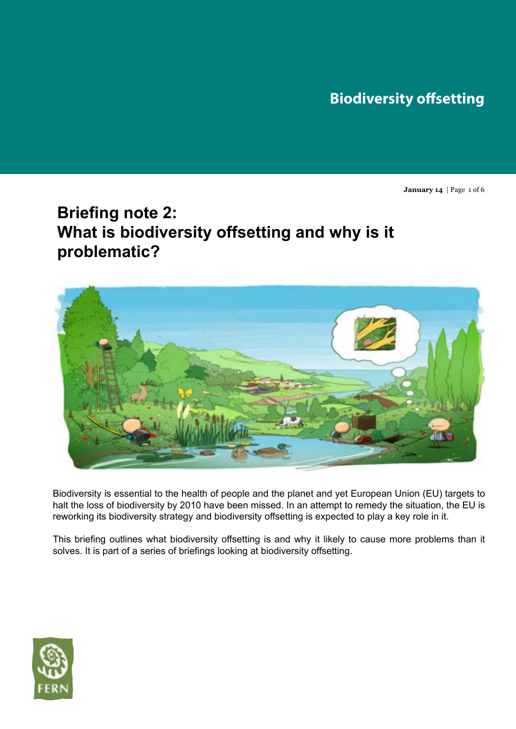# **Biodiversity offsetting**

**January 14** | Page 1 of 6

# **Briefing note 2: What is biodiversity offsetting and why is it problematic?**



Biodiversity is essential to the health of people and the planet and yet European Union (EU) targets to halt the loss of biodiversity by 2010 have been missed. In an attempt to remedy the situation, the EU is reworking its biodiversity strategy and biodiversity offsetting is expected to play a key role in it.

This briefing outlines what biodiversity offsetting is and why it likely to cause more problems than it solves. It is part of a series of briefings looking at biodiversity offsetting.

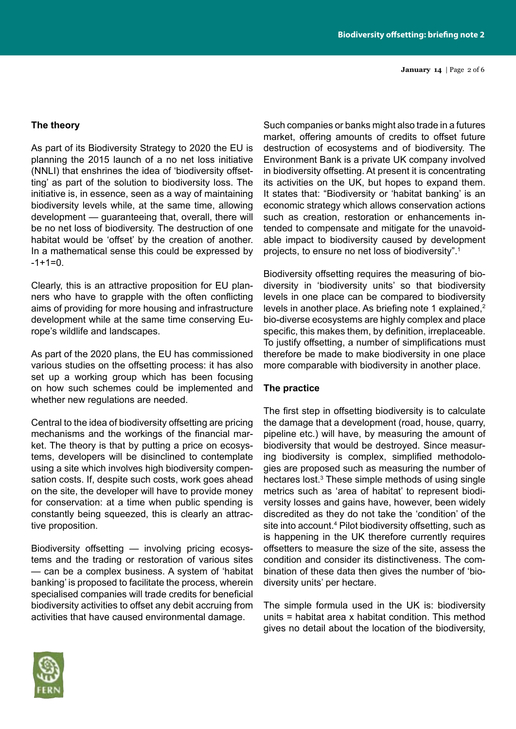**January 14** | Page 2 of 6

#### **The theory**

As part of its Biodiversity Strategy to 2020 the EU is planning the 2015 launch of a no net loss initiative (NNLI) that enshrines the idea of 'biodiversity offsetting' as part of the solution to biodiversity loss. The initiative is, in essence, seen as a way of maintaining biodiversity levels while, at the same time, allowing development — guaranteeing that, overall, there will be no net loss of biodiversity. The destruction of one habitat would be 'offset' by the creation of another. In a mathematical sense this could be expressed by  $-1+1=0$ .

Clearly, this is an attractive proposition for EU planners who have to grapple with the often conflicting aims of providing for more housing and infrastructure development while at the same time conserving Europe's wildlife and landscapes.

As part of the 2020 plans, the EU has commissioned various studies on the offsetting process: it has also set up a working group which has been focusing on how such schemes could be implemented and whether new regulations are needed.

Central to the idea of biodiversity offsetting are pricing mechanisms and the workings of the financial market. The theory is that by putting a price on ecosystems, developers will be disinclined to contemplate using a site which involves high biodiversity compensation costs. If, despite such costs, work goes ahead on the site, the developer will have to provide money for conservation: at a time when public spending is constantly being squeezed, this is clearly an attractive proposition.

Biodiversity offsetting — involving pricing ecosystems and the trading or restoration of various sites — can be a complex business. A system of 'habitat banking' is proposed to facilitate the process, wherein specialised companies will trade credits for beneficial biodiversity activities to offset any debit accruing from activities that have caused environmental damage.

Such companies or banks might also trade in a futures market, offering amounts of credits to offset future destruction of ecosystems and of biodiversity. The Environment Bank is a private UK company involved in biodiversity offsetting. At present it is concentrating its activities on the UK, but hopes to expand them. It states that: "Biodiversity or 'habitat banking' is an economic strategy which allows conservation actions such as creation, restoration or enhancements intended to compensate and mitigate for the unavoidable impact to biodiversity caused by development projects, to ensure no net loss of biodiversity".1

Biodiversity offsetting requires the measuring of biodiversity in 'biodiversity units' so that biodiversity levels in one place can be compared to biodiversity levels in another place. As briefing note 1 explained,<sup>2</sup> bio-diverse ecosystems are highly complex and place specific, this makes them, by definition, irreplaceable. To justify offsetting, a number of simplifications must therefore be made to make biodiversity in one place more comparable with biodiversity in another place.

#### **The practice**

The first step in offsetting biodiversity is to calculate the damage that a development (road, house, quarry, pipeline etc.) will have, by measuring the amount of biodiversity that would be destroyed. Since measuring biodiversity is complex, simplified methodologies are proposed such as measuring the number of hectares lost.<sup>3</sup> These simple methods of using single metrics such as 'area of habitat' to represent biodiversity losses and gains have, however, been widely discredited as they do not take the 'condition' of the site into account.<sup>4</sup> Pilot biodiversity offsetting, such as is happening in the UK therefore currently requires offsetters to measure the size of the site, assess the condition and consider its distinctiveness. The combination of these data then gives the number of 'biodiversity units' per hectare.

The simple formula used in the UK is: biodiversity units = habitat area x habitat condition. This method gives no detail about the location of the biodiversity,

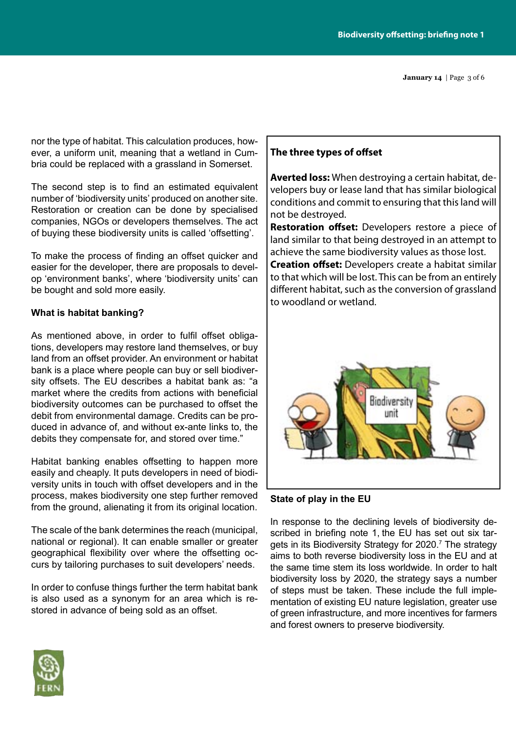**January 14** | Page 3 of 6

nor the type of habitat. This calculation produces, however, a uniform unit, meaning that a wetland in Cumbria could be replaced with a grassland in Somerset.

The second step is to find an estimated equivalent number of 'biodiversity units' produced on another site. Restoration or creation can be done by specialised companies, NGOs or developers themselves. The act of buying these biodiversity units is called 'offsetting'.

To make the process of finding an offset quicker and easier for the developer, there are proposals to develop 'environment banks', where 'biodiversity units' can be bought and sold more easily.

# **What is habitat banking?**

As mentioned above, in order to fulfil offset obligations, developers may restore land themselves, or buy land from an offset provider. An environment or habitat bank is a place where people can buy or sell biodiversity offsets. The EU describes a habitat bank as: "a market where the credits from actions with beneficial biodiversity outcomes can be purchased to offset the debit from environmental damage. Credits can be produced in advance of, and without ex-ante links to, the debits they compensate for, and stored over time."

Habitat banking enables offsetting to happen more easily and cheaply. It puts developers in need of biodiversity units in touch with offset developers and in the process, makes biodiversity one step further removed from the ground, alienating it from its original location.

The scale of the bank determines the reach (municipal, national or regional). It can enable smaller or greater geographical flexibility over where the offsetting occurs by tailoring purchases to suit developers' needs.

In order to confuse things further the term habitat bank is also used as a synonym for an area which is restored in advance of being sold as an offset.

# **The three types of offset**

**Averted loss:** When destroying a certain habitat, developers buy or lease land that has similar biological conditions and commit to ensuring that this land will not be destroyed.

**Restoration offset:** Developers restore a piece of land similar to that being destroyed in an attempt to achieve the same biodiversity values as those lost.

**Creation offset:** Developers create a habitat similar to that which will be lost. This can be from an entirely different habitat, such as the conversion of grassland to woodland or wetland.



# **State of play in the EU**

In response to the declining levels of biodiversity described in briefing note 1, the EU has set out six targets in its Biodiversity Strategy for 2020.<sup>7</sup> The strategy aims to both reverse biodiversity loss in the EU and at the same time stem its loss worldwide. In order to halt biodiversity loss by 2020, the strategy says a number of steps must be taken. These include the full implementation of existing EU nature legislation, greater use of green infrastructure, and more incentives for farmers and forest owners to preserve biodiversity.

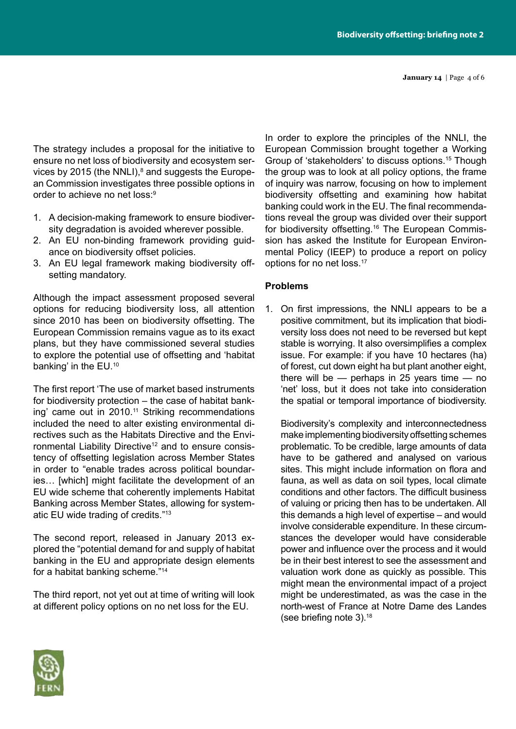**January 14** | Page 4 of 6

The strategy includes a proposal for the initiative to ensure no net loss of biodiversity and ecosystem services by 2015 (the NNLI), $^8$  and suggests the European Commission investigates three possible options in order to achieve no net loss:9

- 1. A decision-making framework to ensure biodiversity degradation is avoided wherever possible.
- 2. An EU non-binding framework providing guidance on biodiversity offset policies.
- 3. An EU legal framework making biodiversity offsetting mandatory.

Although the impact assessment proposed several options for reducing biodiversity loss, all attention since 2010 has been on biodiversity offsetting. The European Commission remains vague as to its exact plans, but they have commissioned several studies to explore the potential use of offsetting and 'habitat banking' in the EU.10

The first report 'The use of market based instruments for biodiversity protection – the case of habitat banking' came out in 2010.<sup>11</sup> Striking recommendations included the need to alter existing environmental directives such as the Habitats Directive and the Environmental Liability Directive<sup>12</sup> and to ensure consistency of offsetting legislation across Member States in order to "enable trades across political boundaries… [which] might facilitate the development of an EU wide scheme that coherently implements Habitat Banking across Member States, allowing for systematic EU wide trading of credits."13

The second report, released in January 2013 explored the "potential demand for and supply of habitat banking in the EU and appropriate design elements for a habitat banking scheme."14

The third report, not yet out at time of writing will look at different policy options on no net loss for the EU.

In order to explore the principles of the NNLI, the European Commission brought together a Working Group of 'stakeholders' to discuss options.15 Though the group was to look at all policy options, the frame of inquiry was narrow, focusing on how to implement biodiversity offsetting and examining how habitat banking could work in the EU. The final recommendations reveal the group was divided over their support for biodiversity offsetting.16 The European Commission has asked the Institute for European Environmental Policy (IEEP) to produce a report on policy options for no net loss.17

# **Problems**

1. On first impressions, the NNLI appears to be a positive commitment, but its implication that biodiversity loss does not need to be reversed but kept stable is worrying. It also oversimplifies a complex issue. For example: if you have 10 hectares (ha) of forest, cut down eight ha but plant another eight, there will be — perhaps in 25 years time — no 'net' loss, but it does not take into consideration the spatial or temporal importance of biodiversity.

Biodiversity's complexity and interconnectedness make implementing biodiversity offsetting schemes problematic. To be credible, large amounts of data have to be gathered and analysed on various sites. This might include information on flora and fauna, as well as data on soil types, local climate conditions and other factors. The difficult business of valuing or pricing then has to be undertaken. All this demands a high level of expertise – and would involve considerable expenditure. In these circumstances the developer would have considerable power and influence over the process and it would be in their best interest to see the assessment and valuation work done as quickly as possible. This might mean the environmental impact of a project might be underestimated, as was the case in the north-west of France at Notre Dame des Landes (see briefing note 3).<sup>18</sup>

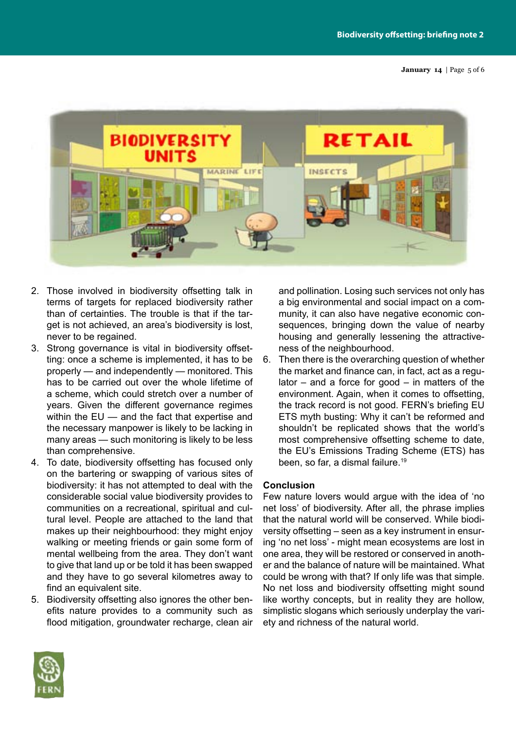**January 14** | Page 5 of 6



- 2. Those involved in biodiversity offsetting talk in terms of targets for replaced biodiversity rather than of certainties. The trouble is that if the target is not achieved, an area's biodiversity is lost, never to be regained.
- 3. Strong governance is vital in biodiversity offsetting: once a scheme is implemented, it has to be properly — and independently — monitored. This has to be carried out over the whole lifetime of a scheme, which could stretch over a number of years. Given the different governance regimes within the EU — and the fact that expertise and the necessary manpower is likely to be lacking in many areas — such monitoring is likely to be less than comprehensive.
- 4. To date, biodiversity offsetting has focused only on the bartering or swapping of various sites of biodiversity: it has not attempted to deal with the considerable social value biodiversity provides to communities on a recreational, spiritual and cultural level. People are attached to the land that makes up their neighbourhood: they might enjoy walking or meeting friends or gain some form of mental wellbeing from the area. They don't want to give that land up or be told it has been swapped and they have to go several kilometres away to find an equivalent site.
- 5. Biodiversity offsetting also ignores the other benefits nature provides to a community such as flood mitigation, groundwater recharge, clean air

and pollination. Losing such services not only has a big environmental and social impact on a community, it can also have negative economic consequences, bringing down the value of nearby housing and generally lessening the attractiveness of the neighbourhood.

6. Then there is the overarching question of whether the market and finance can, in fact, act as a regulator  $-$  and a force for good  $-$  in matters of the environment. Again, when it comes to offsetting, the track record is not good. FERN's briefing EU ETS myth busting: Why it can't be reformed and shouldn't be replicated shows that the world's most comprehensive offsetting scheme to date, the EU's Emissions Trading Scheme (ETS) has been, so far, a dismal failure.<sup>19</sup>

### **Conclusion**

Few nature lovers would argue with the idea of 'no net loss' of biodiversity. After all, the phrase implies that the natural world will be conserved. While biodiversity offsetting – seen as a key instrument in ensuring 'no net loss' - might mean ecosystems are lost in one area, they will be restored or conserved in another and the balance of nature will be maintained. What could be wrong with that? If only life was that simple. No net loss and biodiversity offsetting might sound like worthy concepts, but in reality they are hollow, simplistic slogans which seriously underplay the variety and richness of the natural world.